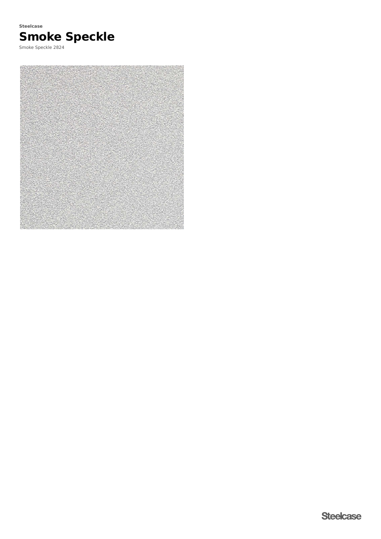

Smoke Speckle 2824

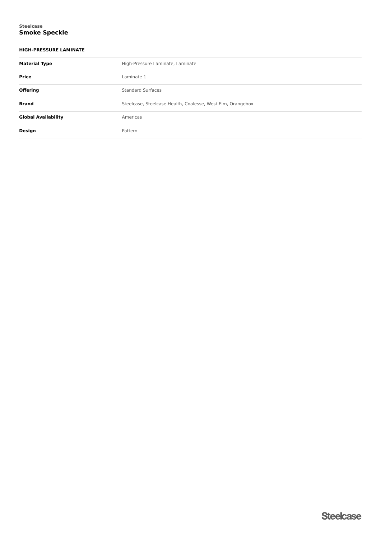### **Smoke Speckle Steelcase**

## **HIGH-PRESSURE LAMINATE**

| <b>Material Type</b>       | High-Pressure Laminate, Laminate                           |  |  |
|----------------------------|------------------------------------------------------------|--|--|
| Price                      | Laminate 1                                                 |  |  |
| <b>Offering</b>            | <b>Standard Surfaces</b>                                   |  |  |
| <b>Brand</b>               | Steelcase, Steelcase Health, Coalesse, West Elm, Orangebox |  |  |
| <b>Global Availability</b> | Americas                                                   |  |  |
| Design                     | Pattern                                                    |  |  |